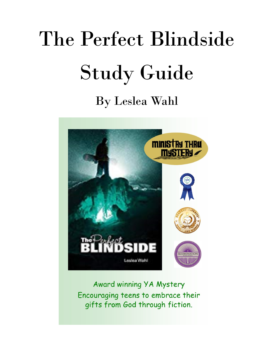# The Perfect Blindside Study Guide

By Leslea Wahl



Award winning YA Mystery Encouraging teens to embrace their gifts from God through fiction.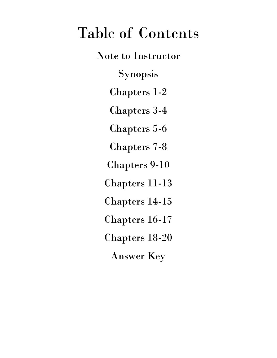## Table of Contents

Note to Instructor Synopsis Chapters 1-2 Chapters 3-4 Chapters 5-6 Chapters 7-8 Chapters 9-10 Chapters 11-13 Chapters 14-15 Chapters 16-17 Chapters 18-20 Answer Key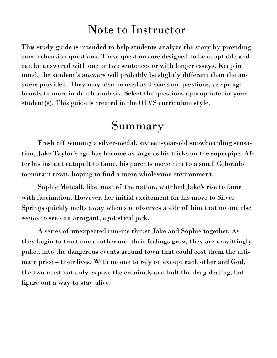### Note to Instructor

This study guide is intended to help students analyze the story by providing comprehension questions. These questions are designed to be adaptable and can be answered with one or two sentences or with longer essays. Keep in mind, the student's answers will probably be slightly different than the answers provided. They may also be used as discussion questions, as springboards to more in-depth analysis. Select the questions appropriate for your student(s). This guide is created in the OLVS curriculum style.

### **Summary**

Fresh off winning a silver-medal, sixteen-year-old snowboarding sensation, Jake Taylor's ego has become as large as his tricks on the superpipe. After his instant catapult to fame, his parents move him to a small Colorado mountain town, hoping to find a more wholesome environment.

Sophie Metcalf, like most of the nation, watched Jake's rise to fame with fascination. However, her initial excitement for his move to Silver Springs quickly melts away when she observes a side of him that no one else seems to see - an arrogant, egotistical jerk.

A series of unexpected run-ins thrust Jake and Sophie together. As they begin to trust one another and their feelings grow, they are unwittingly pulled into the dangerous events around town that could cost them the ultimate price – their lives. With no one to rely on except each other and God, the two must not only expose the criminals and halt the drug-dealing, but figure out a way to stay alive.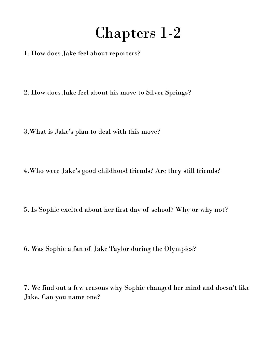## Chapters 1-2

1. How does Jake feel about reporters?

2. How does Jake feel about his move to Silver Springs?

3.What is Jake's plan to deal with this move?

4.Who were Jake's good childhood friends? Are they still friends?

5. Is Sophie excited about her first day of school? Why or why not?

6. Was Sophie a fan of Jake Taylor during the Olympics?

7. We find out a few reasons why Sophie changed her mind and doesn't like Jake. Can you name one?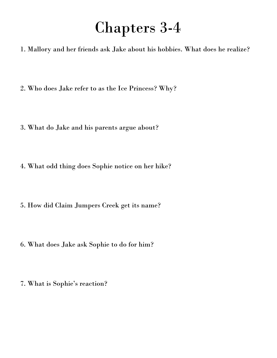### Chapters 3-4

1. Mallory and her friends ask Jake about his hobbies. What does he realize?

2. Who does Jake refer to as the Ice Princess? Why?

- 3. What do Jake and his parents argue about?
- 4. What odd thing does Sophie notice on her hike?
- 5. How did Claim Jumpers Creek get its name?
- 6. What does Jake ask Sophie to do for him?
- 7. What is Sophie's reaction?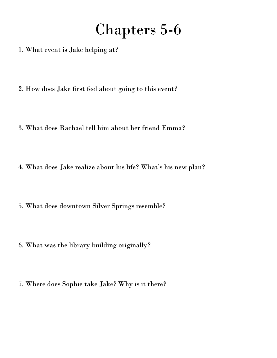# Chapters 5-6

- 1. What event is Jake helping at?
- 2. How does Jake first feel about going to this event?
- 3. What does Rachael tell him about her friend Emma?
- 4. What does Jake realize about his life? What's his new plan?
- 5. What does downtown Silver Springs resemble?
- 6. What was the library building originally?
- 7. Where does Sophie take Jake? Why is it there?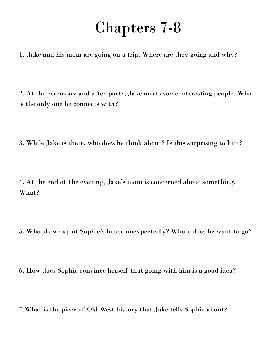### Chapters 7-8

1. Jake and his mom are going on a trip. Where are they going and why?

2. At the ceremony and after-party, Jake meets some interesting people. Who is the only one he connects with?

3. While Jake is there, who does he think about? Is this surprising to him?

4. At the end of the evening, Jake's mom is concerned about something. What?

- 5. Who shows up at Sophie's house unexpectedly? Where does he want to go?
- 6. How does Sophie convince herself that going with him is a good idea?

7.What is the piece of Old West history that Jake tells Sophie about?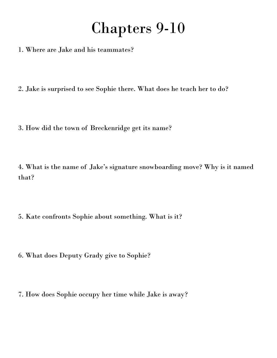### Chapters 9-10

- 1. Where are Jake and his teammates?
- 2. Jake is surprised to see Sophie there. What does he teach her to do?
- 3. How did the town of Breckenridge get its name?

4. What is the name of Jake's signature snowboarding move? Why is it named that?

- 5. Kate confronts Sophie about something. What is it?
- 6. What does Deputy Grady give to Sophie?
- 7. How does Sophie occupy her time while Jake is away?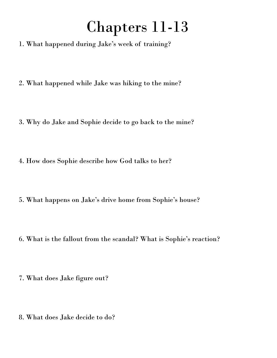# Chapters 11-13

- 1. What happened during Jake's week of training?
- 2. What happened while Jake was hiking to the mine?
- 3. Why do Jake and Sophie decide to go back to the mine?
- 4. How does Sophie describe how God talks to her?
- 5. What happens on Jake's drive home from Sophie's house?
- 6. What is the fallout from the scandal? What is Sophie's reaction?
- 7. What does Jake figure out?
- 8. What does Jake decide to do?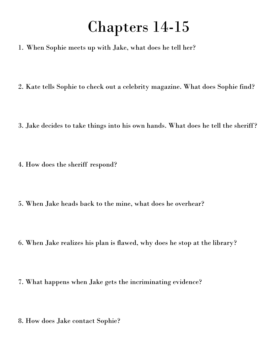### Chapters 14-15

- 1. When Sophie meets up with Jake, what does he tell her?
- 2. Kate tells Sophie to check out a celebrity magazine. What does Sophie find?
- 3. Jake decides to take things into his own hands. What does he tell the sheriff?
- 4. How does the sheriff respond?
- 5. When Jake heads back to the mine, what does he overhear?
- 6. When Jake realizes his plan is flawed, why does he stop at the library?
- 7. What happens when Jake gets the incriminating evidence?
- 8. How does Jake contact Sophie?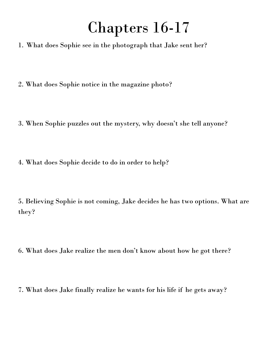# Chapters 16-17

- 1. What does Sophie see in the photograph that Jake sent her?
- 2. What does Sophie notice in the magazine photo?
- 3. When Sophie puzzles out the mystery, why doesn't she tell anyone?
- 4. What does Sophie decide to do in order to help?

5. Believing Sophie is not coming, Jake decides he has two options. What are they?

- 6. What does Jake realize the men don't know about how he got there?
- 7. What does Jake finally realize he wants for his life if he gets away?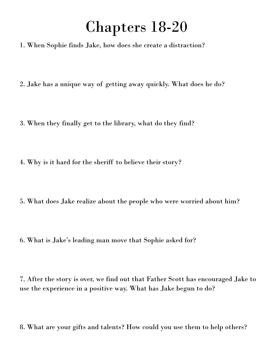### Chapters 18-20

- 1. When Sophie finds Jake, how does she create a distraction?
- 2. Jake has a unique way of getting away quickly. What does he do?
- 3. When they finally get to the library, what do they find?
- 4. Why is it hard for the sheriff to believe their story?
- 5. What does Jake realize about the people who were worried about him?
- 6. What is Jake's leading man move that Sophie asked for?

7. After the story is over, we find out that Father Scott has encouraged Jake to use the experience in a positive way. What has Jake begun to do?

8. What are your gifts and talents? How could you use them to help others?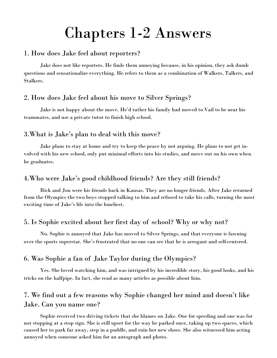## Chapters 1-2 Answers

#### 1. How does Jake feel about reporters?

Jake does not like reporters. He finds them annoying because, in his opinion, they ask dumb questions and sensationalize everything. He refers to them as a combination of Walkers, Talkers, and Stalkers.

#### 2. How does Jake feel about his move to Silver Springs?

Jake is not happy about the move. He'd rather his family had moved to Vail to be near his teammates, and use a private tutor to finish high school.

#### 3.What is Jake's plan to deal with this move?

Jake plans to stay at home and try to keep the peace by not arguing. He plans to not get involved with his new school, only put minimal efforts into his studies, and move out on his own when he graduates.

#### 4.Who were Jake's good childhood friends? Are they still friends?

Rick and Jon were his friends back in Kansas. They are no longer friends. After Jake returned from the Olympics the two boys stopped talking to him and refused to take his calls, turning the most exciting time of Jake's life into the loneliest.

#### 5. Is Sophie excited about her first day of school? Why or why not?

No. Sophie is annoyed that Jake has moved to Silver Springs, and that everyone is fawning over the sports superstar. She's frustrated that no one can see that he is arrogant and self-centered.

#### 6. Was Sophie a fan of Jake Taylor during the Olympics?

Yes. She loved watching him, and was intrigued by his incredible story, his good looks, and his tricks on the halfpipe. In fact, she read as many articles as possible about him.

#### 7. We find out a few reasons why Sophie changed her mind and doesn't like Jake. Can you name one?

Sophie received two driving tickets that she blames on Jake. One for speeding and one was for not stopping at a stop sign. She is still upset for the way he parked once, taking up two spaces, which caused her to park far away, step in a puddle, and ruin her new shoes. She also witnessed him acting annoyed when someone asked him for an autograph and photo.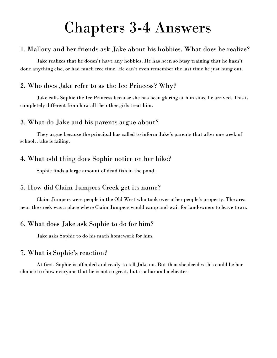### Chapters 3-4 Answers

#### 1. Mallory and her friends ask Jake about his hobbies. What does he realize?

Jake realizes that he doesn't have any hobbies. He has been so busy training that he hasn't done anything else, or had much free time. He can't even remember the last time he just hung out.

#### 2. Who does Jake refer to as the Ice Princess? Why?

Jake calls Sophie the Ice Princess because she has been glaring at him since he arrived. This is completely different from how all the other girls treat him.

#### 3. What do Jake and his parents argue about?

They argue because the principal has called to inform Jake's parents that after one week of school, Jake is failing.

#### 4. What odd thing does Sophie notice on her hike?

Sophie finds a large amount of dead fish in the pond.

#### 5. How did Claim Jumpers Creek get its name?

Claim Jumpers were people in the Old West who took over other people's property. The area near the creek was a place where Claim Jumpers would camp and wait for landowners to leave town.

#### 6. What does Jake ask Sophie to do for him?

Jake asks Sophie to do his math homework for him.

#### 7. What is Sophie's reaction?

At first, Sophie is offended and ready to tell Jake no. But then she decides this could be her chance to show everyone that he is not so great, but is a liar and a cheater.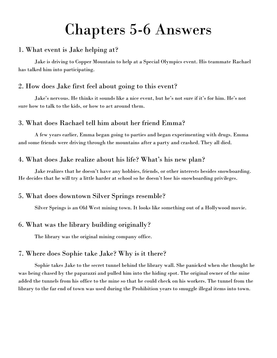### Chapters 5-6 Answers

#### 1. What event is Jake helping at?

Jake is driving to Copper Mountain to help at a Special Olympics event. His teammate Rachael has talked him into participating.

#### 2. How does Jake first feel about going to this event?

Jake's nervous. He thinks it sounds like a nice event, but he's not sure if it's for him. He's not sure how to talk to the kids, or how to act around them.

#### 3. What does Rachael tell him about her friend Emma?

A few years earlier, Emma began going to parties and began experimenting with drugs. Emma and some friends were driving through the mountains after a party and crashed. They all died.

#### 4. What does Jake realize about his life? What's his new plan?

Jake realizes that he doesn't have any hobbies, friends, or other interests besides snowboarding. He decides that he will try a little harder at school so he doesn't lose his snowboarding privileges.

#### 5. What does downtown Silver Springs resemble?

Silver Springs is an Old West mining town. It looks like something out of a Hollywood movie.

#### 6. What was the library building originally?

The library was the original mining company office.

#### 7. Where does Sophie take Jake? Why is it there?

Sophie takes Jake to the secret tunnel behind the library wall. She panicked when she thought he was being chased by the paparazzi and pulled him into the hiding spot. The original owner of the mine added the tunnels from his office to the mine so that he could check on his workers. The tunnel from the library to the far end of town was used during the Prohibition years to smuggle illegal items into town.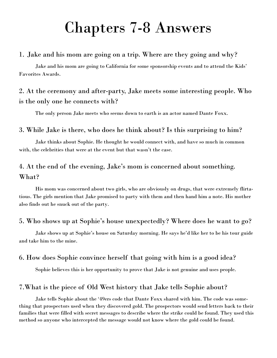### Chapters 7-8 Answers

#### 1. Jake and his mom are going on a trip. Where are they going and why?

Jake and his mom are going to California for some sponsorship events and to attend the Kids' Favorites Awards.

#### 2. At the ceremony and after-party, Jake meets some interesting people. Who is the only one he connects with?

The only person Jake meets who seems down to earth is an actor named Dante Foxx.

#### 3. While Jake is there, who does he think about? Is this surprising to him?

Jake thinks about Sophie. He thought he would connect with, and have so much in common with, the celebrities that were at the event but that wasn't the case.

#### 4. At the end of the evening, Jake's mom is concerned about something. What?

His mom was concerned about two girls, who are obviously on drugs, that were extremely flirtatious. The girls mention that Jake promised to party with them and then hand him a note. His mother also finds out he snuck out of the party.

#### 5. Who shows up at Sophie's house unexpectedly? Where does he want to go?

Jake shows up at Sophie's house on Saturday morning. He says he'd like her to be his tour guide and take him to the mine.

#### 6. How does Sophie convince herself that going with him is a good idea?

Sophie believes this is her opportunity to prove that Jake is not genuine and uses people.

#### 7.What is the piece of Old West history that Jake tells Sophie about?

Jake tells Sophie about the '49ers code that Dante Foxx shared with him. The code was something that prospectors used when they discovered gold. The prospectors would send letters back to their families that were filled with secret messages to describe where the strike could be found. They used this method so anyone who intercepted the message would not know where the gold could be found.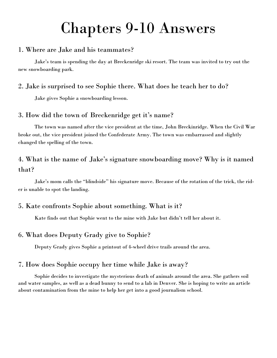### Chapters 9-10 Answers

#### 1. Where are Jake and his teammates?

Jake's team is spending the day at Breckenridge ski resort. The team was invited to try out the new snowboarding park.

#### 2. Jake is surprised to see Sophie there. What does he teach her to do?

Jake gives Sophie a snowboarding lesson.

#### 3. How did the town of Breckenridge get it's name?

The town was named after the vice president at the time, John Breckinridge. When the Civil War broke out, the vice president joined the Confederate Army. The town was embarrassed and slightly changed the spelling of the town.

#### 4. What is the name of Jake's signature snowboarding move? Why is it named that?

Jake's mom calls the "blindside" his signature move. Because of the rotation of the trick, the rider is unable to spot the landing.

#### 5. Kate confronts Sophie about something. What is it?

Kate finds out that Sophie went to the mine with Jake but didn't tell her about it.

#### 6. What does Deputy Grady give to Sophie?

Deputy Grady gives Sophie a printout of 4-wheel drive trails around the area.

#### 7. How does Sophie occupy her time while Jake is away?

Sophie decides to investigate the mysterious death of animals around the area. She gathers soil and water samples, as well as a dead bunny to send to a lab in Denver. She is hoping to write an article about contamination from the mine to help her get into a good journalism school.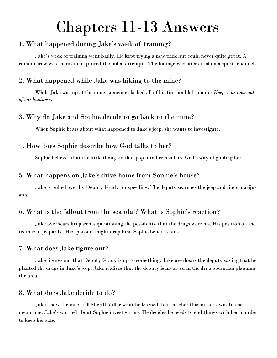### Chapters 11-13 Answers

#### 1. What happened during Jake's week of training?

Jake's week of training went badly. He kept trying a new trick but could never quite get it. A camera crew was there and captured the failed attempts. The footage was later aired on a sports channel.

#### 2. What happened while Jake was hiking to the mine?

While Jake was up at the mine, someone slashed all of his tires and left a note: *Keep your nose out of our business*.

#### 3. Why do Jake and Sophie decide to go back to the mine?

When Sophie hears about what happened to Jake's jeep, she wants to investigate.

#### 4. How does Sophie describe how God talks to her?

Sophie believes that the little thoughts that pop into her head are God's way of guiding her.

#### 5. What happens on Jake's drive home from Sophie's house?

Jake is pulled over by Deputy Grady for speeding. The deputy searches the jeep and finds marijuana.

#### 6. What is the fallout from the scandal? What is Sophie's reaction?

Jake overhears his parents questioning the possibility that the drugs were his. His position on the team is in jeopardy. His sponsors might drop him. Sophie believes him.

#### 7. What does Jake figure out?

Jake figures out that Deputy Grady is up to something. Jake overhears the deputy saying that he planted the drugs in Jake's jeep. Jake realizes that the deputy is involved in the drug operation plaguing the area.

#### 8. What does Jake decide to do?

Jake knows he must tell Sheriff Miller what he learned, but the sheriff is out of town. In the meantime, Jake's worried about Sophie investigating. He decides he needs to end things with her in order to keep her safe.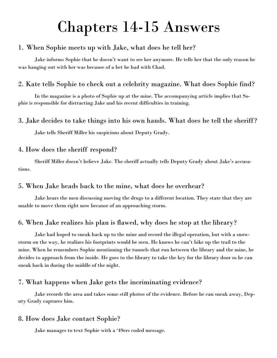### Chapters 14-15 Answers

#### 1. When Sophie meets up with Jake, what does he tell her?

Jake informs Sophie that he doesn't want to see her anymore. He tells her that the only reason he was hanging out with her was because of a bet he had with Chad.

#### 2. Kate tells Sophie to check out a celebrity magazine. What does Sophie find?

In the magazine is a photo of Sophie up at the mine. The accompanying article implies that Sophie is responsible for distracting Jake and his recent difficulties in training.

#### 3. Jake decides to take things into his own hands. What does he tell the sheriff?

Jake tells Sheriff Miller his suspicions about Deputy Grady.

#### 4. How does the sheriff respond?

Sheriff Miller doesn't believe Jake. The sheriff actually tells Deputy Grady about Jake's accusations.

#### 5. When Jake heads back to the mine, what does he overhear?

Jake hears the men discussing moving the drugs to a different location. They state that they are unable to move them right now because of an approaching storm.

#### 6. When Jake realizes his plan is flawed, why does he stop at the library?

Jake had hoped to sneak back up to the mine and record the illegal operation, but with a snowstorm on the way, he realizes his footprints would be seen. He knows he can't hike up the trail to the mine. When he remembers Sophie mentioning the tunnels that run between the library and the mine, he decides to approach from the inside. He goes to the library to take the key for the library door so he can sneak back in during the middle of the night.

#### 7. What happens when Jake gets the incriminating evidence?

Jake records the area and takes some still photos of the evidence. Before he can sneak away, Deputy Grady captures him.

#### 8. How does Jake contact Sophie?

Jake manages to text Sophie with a '49ers coded message.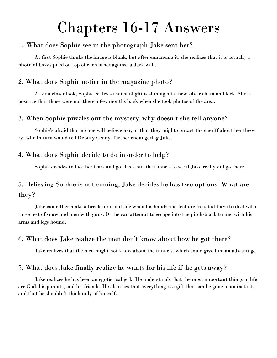### Chapters 16-17 Answers

#### 1. What does Sophie see in the photograph Jake sent her?

At first Sophie thinks the image is blank, but after enhancing it, she realizes that it is actually a photo of boxes piled on top of each other against a dark wall.

#### 2. What does Sophie notice in the magazine photo?

After a closer look, Sophie realizes that sunlight is shining off a new silver chain and lock. She is positive that those were not there a few months back when she took photos of the area.

#### 3. When Sophie puzzles out the mystery, why doesn't she tell anyone?

Sophie's afraid that no one will believe her, or that they might contact the sheriff about her theory, who in turn would tell Deputy Grady, further endangering Jake.

#### 4. What does Sophie decide to do in order to help?

Sophie decides to face her fears and go check out the tunnels to see if Jake really did go there.

#### 5. Believing Sophie is not coming, Jake decides he has two options. What are they?

Jake can either make a break for it outside when his hands and feet are free, but have to deal with three feet of snow and men with guns. Or, he can attempt to escape into the pitch-black tunnel with his arms and legs bound.

#### 6. What does Jake realize the men don't know about how he got there?

Jake realizes that the men might not know about the tunnels, which could give him an advantage.

#### 7. What does Jake finally realize he wants for his life if he gets away?

Jake realizes he has been an egotistical jerk. He understands that the most important things in life are God, his parents, and his friends. He also sees that everything is a gift that can be gone in an instant, and that he shouldn't think only of himself.